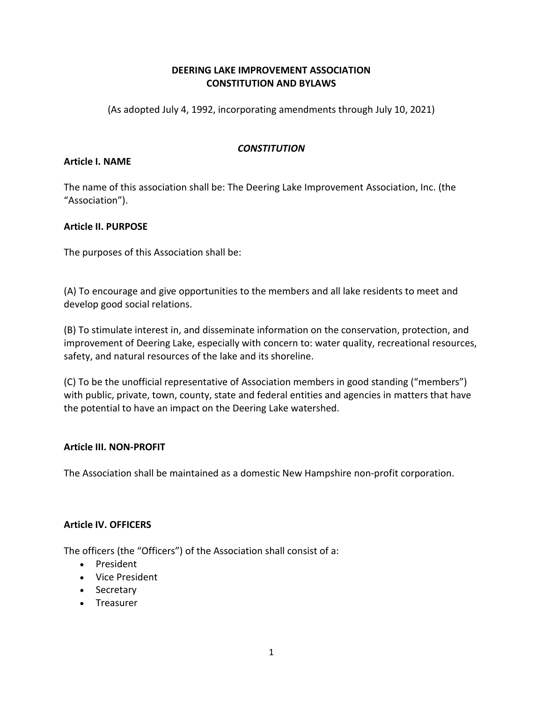# **DEERING LAKE IMPROVEMENT ASSOCIATION CONSTITUTION AND BYLAWS**

(As adopted July 4, 1992, incorporating amendments through July 10, 2021)

# *CONSTITUTION*

# **Article I. NAME**

The name of this association shall be: The Deering Lake Improvement Association, Inc. (the "Association").

# **Article II. PURPOSE**

The purposes of this Association shall be:

(A) To encourage and give opportunities to the members and all lake residents to meet and develop good social relations.

(B) To stimulate interest in, and disseminate information on the conservation, protection, and improvement of Deering Lake, especially with concern to: water quality, recreational resources, safety, and natural resources of the lake and its shoreline.

(C) To be the unofficial representative of Association members in good standing ("members") with public, private, town, county, state and federal entities and agencies in matters that have the potential to have an impact on the Deering Lake watershed.

# **Article III. NON-PROFIT**

The Association shall be maintained as a domestic New Hampshire non-profit corporation.

# **Article IV. OFFICERS**

The officers (the "Officers") of the Association shall consist of a:

- President
- Vice President
- Secretary
- Treasurer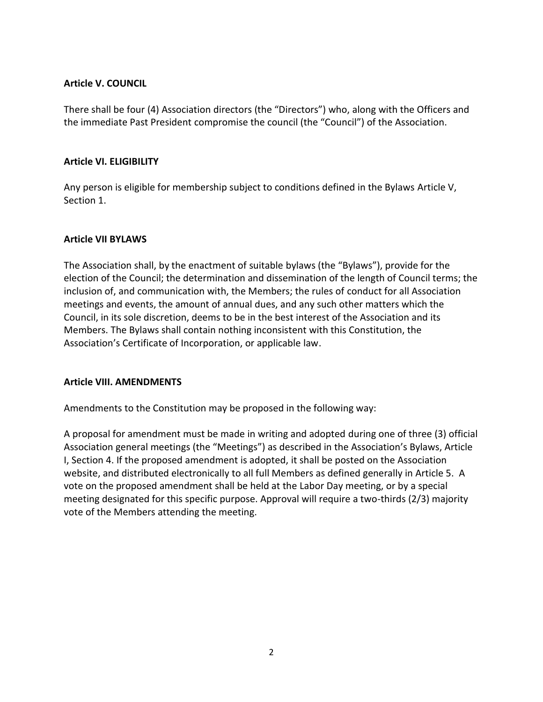### **Article V. COUNCIL**

There shall be four (4) Association directors (the "Directors") who, along with the Officers and the immediate Past President compromise the council (the "Council") of the Association.

## **Article VI. ELIGIBILITY**

Any person is eligible for membership subject to conditions defined in the Bylaws Article V, Section 1.

# **Article VII BYLAWS**

The Association shall, by the enactment of suitable bylaws (the "Bylaws"), provide for the election of the Council; the determination and dissemination of the length of Council terms; the inclusion of, and communication with, the Members; the rules of conduct for all Association meetings and events, the amount of annual dues, and any such other matters which the Council, in its sole discretion, deems to be in the best interest of the Association and its Members. The Bylaws shall contain nothing inconsistent with this Constitution, the Association's Certificate of Incorporation, or applicable law.

### **Article VIII. AMENDMENTS**

Amendments to the Constitution may be proposed in the following way:

A proposal for amendment must be made in writing and adopted during one of three (3) official Association general meetings (the "Meetings") as described in the Association's Bylaws, Article I, Section 4. If the proposed amendment is adopted, it shall be posted on the Association website, and distributed electronically to all full Members as defined generally in Article 5. A vote on the proposed amendment shall be held at the Labor Day meeting, or by a special meeting designated for this specific purpose. Approval will require a two-thirds (2/3) majority vote of the Members attending the meeting.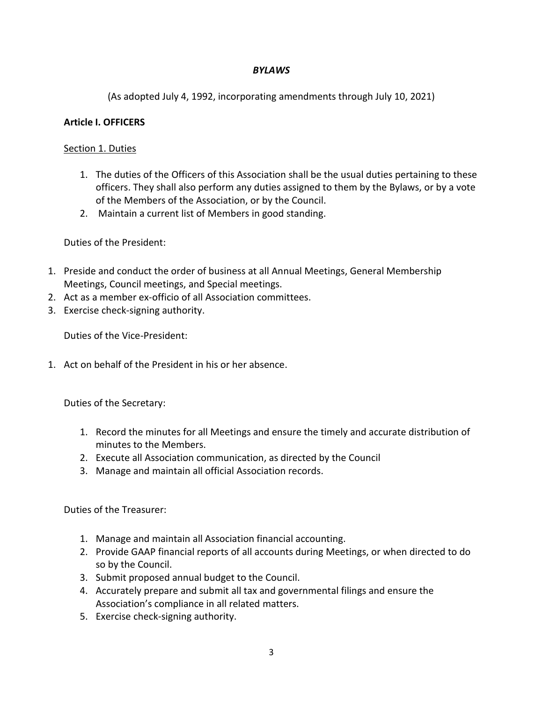## *BYLAWS*

(As adopted July 4, 1992, incorporating amendments through July 10, 2021)

## **Article I. OFFICERS**

### Section 1. Duties

- 1. The duties of the Officers of this Association shall be the usual duties pertaining to these officers. They shall also perform any duties assigned to them by the Bylaws, or by a vote of the Members of the Association, or by the Council.
- 2. Maintain a current list of Members in good standing.

Duties of the President:

- 1. Preside and conduct the order of business at all Annual Meetings, General Membership Meetings, Council meetings, and Special meetings.
- 2. Act as a member ex-officio of all Association committees.
- 3. Exercise check-signing authority.

Duties of the Vice-President:

1. Act on behalf of the President in his or her absence.

Duties of the Secretary:

- 1. Record the minutes for all Meetings and ensure the timely and accurate distribution of minutes to the Members.
- 2. Execute all Association communication, as directed by the Council
- 3. Manage and maintain all official Association records.

Duties of the Treasurer:

- 1. Manage and maintain all Association financial accounting.
- 2. Provide GAAP financial reports of all accounts during Meetings, or when directed to do so by the Council.
- 3. Submit proposed annual budget to the Council.
- 4. Accurately prepare and submit all tax and governmental filings and ensure the Association's compliance in all related matters.
- 5. Exercise check-signing authority.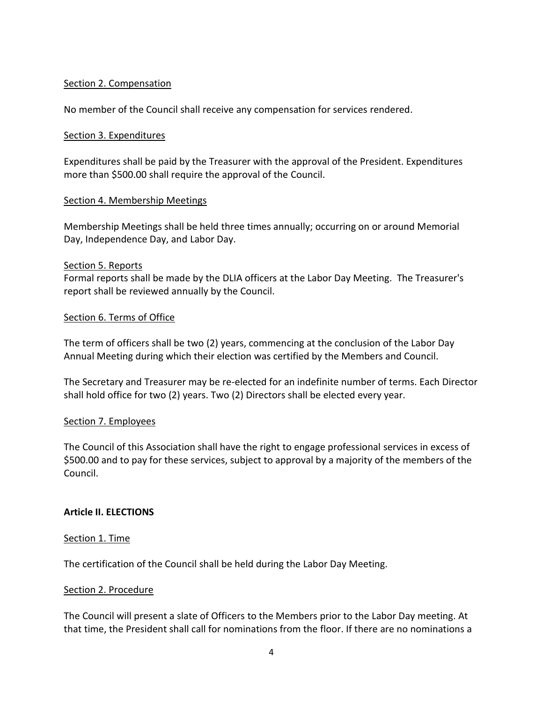### Section 2. Compensation

No member of the Council shall receive any compensation for services rendered.

#### Section 3. Expenditures

Expenditures shall be paid by the Treasurer with the approval of the President. Expenditures more than \$500.00 shall require the approval of the Council.

#### Section 4. Membership Meetings

Membership Meetings shall be held three times annually; occurring on or around Memorial Day, Independence Day, and Labor Day.

#### Section 5. Reports

Formal reports shall be made by the DLIA officers at the Labor Day Meeting. The Treasurer's report shall be reviewed annually by the Council.

### Section 6. Terms of Office

The term of officers shall be two (2) years, commencing at the conclusion of the Labor Day Annual Meeting during which their election was certified by the Members and Council.

The Secretary and Treasurer may be re-elected for an indefinite number of terms. Each Director shall hold office for two (2) years. Two (2) Directors shall be elected every year.

### Section 7. Employees

The Council of this Association shall have the right to engage professional services in excess of \$500.00 and to pay for these services, subject to approval by a majority of the members of the Council.

### **Article II. ELECTIONS**

#### Section 1. Time

The certification of the Council shall be held during the Labor Day Meeting.

#### Section 2. Procedure

The Council will present a slate of Officers to the Members prior to the Labor Day meeting. At that time, the President shall call for nominations from the floor. If there are no nominations a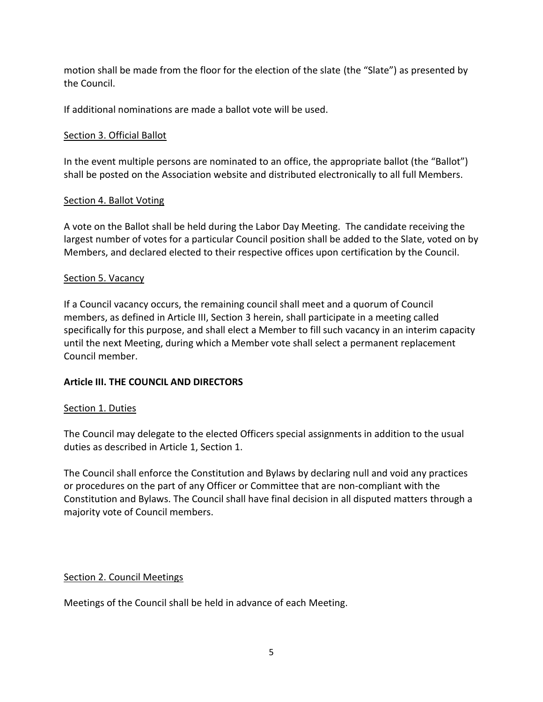motion shall be made from the floor for the election of the slate (the "Slate") as presented by the Council.

If additional nominations are made a ballot vote will be used.

# Section 3. Official Ballot

In the event multiple persons are nominated to an office, the appropriate ballot (the "Ballot") shall be posted on the Association website and distributed electronically to all full Members.

# Section 4. Ballot Voting

A vote on the Ballot shall be held during the Labor Day Meeting. The candidate receiving the largest number of votes for a particular Council position shall be added to the Slate, voted on by Members, and declared elected to their respective offices upon certification by the Council.

# Section 5. Vacancy

If a Council vacancy occurs, the remaining council shall meet and a quorum of Council members, as defined in Article III, Section 3 herein, shall participate in a meeting called specifically for this purpose, and shall elect a Member to fill such vacancy in an interim capacity until the next Meeting, during which a Member vote shall select a permanent replacement Council member.

# **Article III. THE COUNCIL AND DIRECTORS**

# Section 1. Duties

The Council may delegate to the elected Officers special assignments in addition to the usual duties as described in Article 1, Section 1.

The Council shall enforce the Constitution and Bylaws by declaring null and void any practices or procedures on the part of any Officer or Committee that are non-compliant with the Constitution and Bylaws. The Council shall have final decision in all disputed matters through a majority vote of Council members.

# Section 2. Council Meetings

Meetings of the Council shall be held in advance of each Meeting.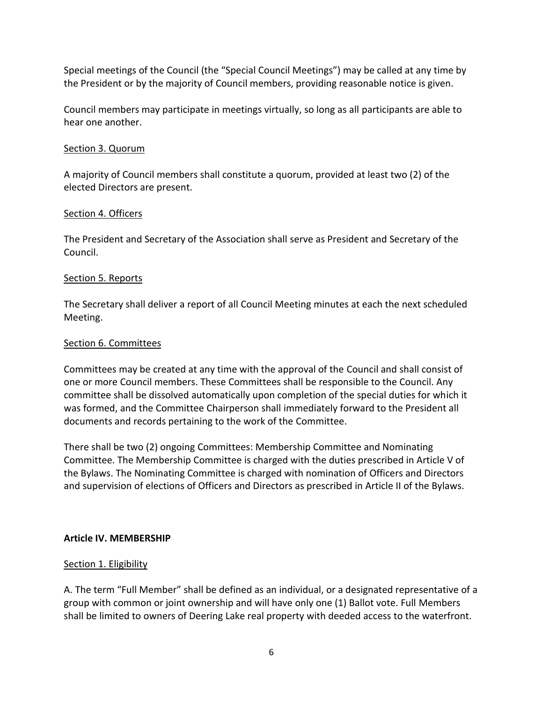Special meetings of the Council (the "Special Council Meetings") may be called at any time by the President or by the majority of Council members, providing reasonable notice is given.

Council members may participate in meetings virtually, so long as all participants are able to hear one another.

# Section 3. Quorum

A majority of Council members shall constitute a quorum, provided at least two (2) of the elected Directors are present.

## Section 4. Officers

The President and Secretary of the Association shall serve as President and Secretary of the Council.

## Section 5. Reports

The Secretary shall deliver a report of all Council Meeting minutes at each the next scheduled Meeting.

## Section 6. Committees

Committees may be created at any time with the approval of the Council and shall consist of one or more Council members. These Committees shall be responsible to the Council. Any committee shall be dissolved automatically upon completion of the special duties for which it was formed, and the Committee Chairperson shall immediately forward to the President all documents and records pertaining to the work of the Committee.

There shall be two (2) ongoing Committees: Membership Committee and Nominating Committee. The Membership Committee is charged with the duties prescribed in Article V of the Bylaws. The Nominating Committee is charged with nomination of Officers and Directors and supervision of elections of Officers and Directors as prescribed in Article II of the Bylaws.

### **Article IV. MEMBERSHIP**

### Section 1. Eligibility

A. The term "Full Member" shall be defined as an individual, or a designated representative of a group with common or joint ownership and will have only one (1) Ballot vote. Full Members shall be limited to owners of Deering Lake real property with deeded access to the waterfront.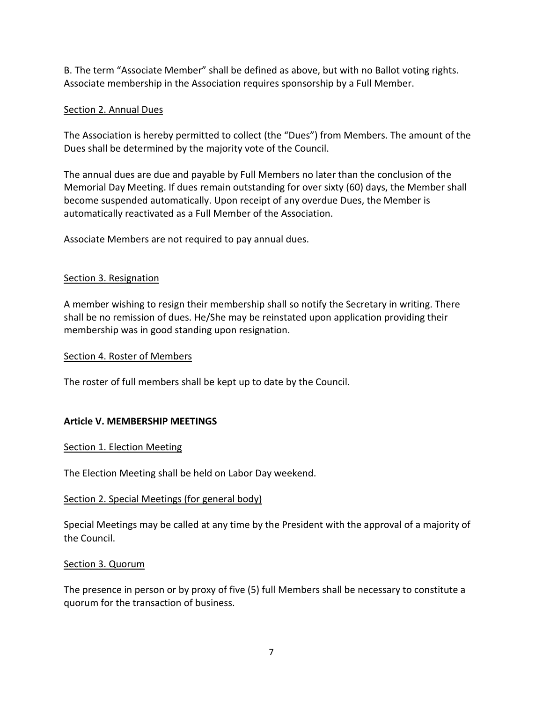B. The term "Associate Member" shall be defined as above, but with no Ballot voting rights. Associate membership in the Association requires sponsorship by a Full Member.

# Section 2. Annual Dues

The Association is hereby permitted to collect (the "Dues") from Members. The amount of the Dues shall be determined by the majority vote of the Council.

The annual dues are due and payable by Full Members no later than the conclusion of the Memorial Day Meeting. If dues remain outstanding for over sixty (60) days, the Member shall become suspended automatically. Upon receipt of any overdue Dues, the Member is automatically reactivated as a Full Member of the Association.

Associate Members are not required to pay annual dues.

## Section 3. Resignation

A member wishing to resign their membership shall so notify the Secretary in writing. There shall be no remission of dues. He/She may be reinstated upon application providing their membership was in good standing upon resignation.

### Section 4. Roster of Members

The roster of full members shall be kept up to date by the Council.

# **Article V. MEMBERSHIP MEETINGS**

### Section 1. Election Meeting

The Election Meeting shall be held on Labor Day weekend.

### Section 2. Special Meetings (for general body)

Special Meetings may be called at any time by the President with the approval of a majority of the Council.

### Section 3. Quorum

The presence in person or by proxy of five (5) full Members shall be necessary to constitute a quorum for the transaction of business.